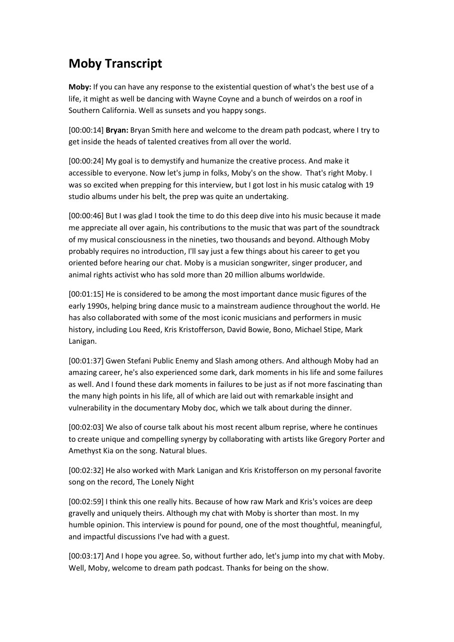## **Moby Transcript**

**Moby:** If you can have any response to the existential question of what's the best use of a life, it might as well be dancing with Wayne Coyne and a bunch of weirdos on a roof in Southern California. Well as sunsets and you happy songs.

[00:00:14] **Bryan:** Bryan Smith here and welcome to the dream path podcast, where I try to get inside the heads of talented creatives from all over the world.

[00:00:24] My goal is to demystify and humanize the creative process. And make it accessible to everyone. Now let's jump in folks, Moby's on the show. That's right Moby. I was so excited when prepping for this interview, but I got lost in his music catalog with 19 studio albums under his belt, the prep was quite an undertaking.

[00:00:46] But I was glad I took the time to do this deep dive into his music because it made me appreciate all over again, his contributions to the music that was part of the soundtrack of my musical consciousness in the nineties, two thousands and beyond. Although Moby probably requires no introduction, I'll say just a few things about his career to get you oriented before hearing our chat. Moby is a musician songwriter, singer producer, and animal rights activist who has sold more than 20 million albums worldwide.

[00:01:15] He is considered to be among the most important dance music figures of the early 1990s, helping bring dance music to a mainstream audience throughout the world. He has also collaborated with some of the most iconic musicians and performers in music history, including Lou Reed, Kris Kristofferson, David Bowie, Bono, Michael Stipe, Mark Lanigan.

[00:01:37] Gwen Stefani Public Enemy and Slash among others. And although Moby had an amazing career, he's also experienced some dark, dark moments in his life and some failures as well. And I found these dark moments in failures to be just as if not more fascinating than the many high points in his life, all of which are laid out with remarkable insight and vulnerability in the documentary Moby doc, which we talk about during the dinner.

[00:02:03] We also of course talk about his most recent album reprise, where he continues to create unique and compelling synergy by collaborating with artists like Gregory Porter and Amethyst Kia on the song. Natural blues.

[00:02:32] He also worked with Mark Lanigan and Kris Kristofferson on my personal favorite song on the record, The Lonely Night

[00:02:59] I think this one really hits. Because of how raw Mark and Kris's voices are deep gravelly and uniquely theirs. Although my chat with Moby is shorter than most. In my humble opinion. This interview is pound for pound, one of the most thoughtful, meaningful, and impactful discussions I've had with a guest.

[00:03:17] And I hope you agree. So, without further ado, let's jump into my chat with Moby. Well, Moby, welcome to dream path podcast. Thanks for being on the show.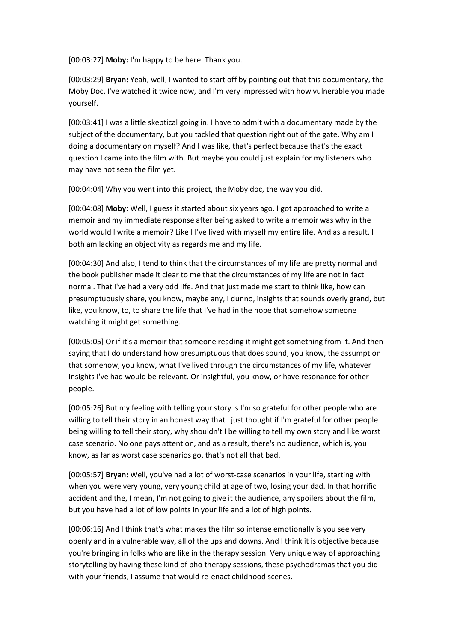[00:03:27] **Moby:** I'm happy to be here. Thank you.

[00:03:29] **Bryan:** Yeah, well, I wanted to start off by pointing out that this documentary, the Moby Doc, I've watched it twice now, and I'm very impressed with how vulnerable you made yourself.

[00:03:41] I was a little skeptical going in. I have to admit with a documentary made by the subject of the documentary, but you tackled that question right out of the gate. Why am I doing a documentary on myself? And I was like, that's perfect because that's the exact question I came into the film with. But maybe you could just explain for my listeners who may have not seen the film yet.

[00:04:04] Why you went into this project, the Moby doc, the way you did.

[00:04:08] **Moby:** Well, I guess it started about six years ago. I got approached to write a memoir and my immediate response after being asked to write a memoir was why in the world would I write a memoir? Like I I've lived with myself my entire life. And as a result, I both am lacking an objectivity as regards me and my life.

[00:04:30] And also, I tend to think that the circumstances of my life are pretty normal and the book publisher made it clear to me that the circumstances of my life are not in fact normal. That I've had a very odd life. And that just made me start to think like, how can I presumptuously share, you know, maybe any, I dunno, insights that sounds overly grand, but like, you know, to, to share the life that I've had in the hope that somehow someone watching it might get something.

[00:05:05] Or if it's a memoir that someone reading it might get something from it. And then saying that I do understand how presumptuous that does sound, you know, the assumption that somehow, you know, what I've lived through the circumstances of my life, whatever insights I've had would be relevant. Or insightful, you know, or have resonance for other people.

[00:05:26] But my feeling with telling your story is I'm so grateful for other people who are willing to tell their story in an honest way that I just thought if I'm grateful for other people being willing to tell their story, why shouldn't I be willing to tell my own story and like worst case scenario. No one pays attention, and as a result, there's no audience, which is, you know, as far as worst case scenarios go, that's not all that bad.

[00:05:57] **Bryan:** Well, you've had a lot of worst-case scenarios in your life, starting with when you were very young, very young child at age of two, losing your dad. In that horrific accident and the, I mean, I'm not going to give it the audience, any spoilers about the film, but you have had a lot of low points in your life and a lot of high points.

[00:06:16] And I think that's what makes the film so intense emotionally is you see very openly and in a vulnerable way, all of the ups and downs. And I think it is objective because you're bringing in folks who are like in the therapy session. Very unique way of approaching storytelling by having these kind of pho therapy sessions, these psychodramas that you did with your friends, I assume that would re-enact childhood scenes.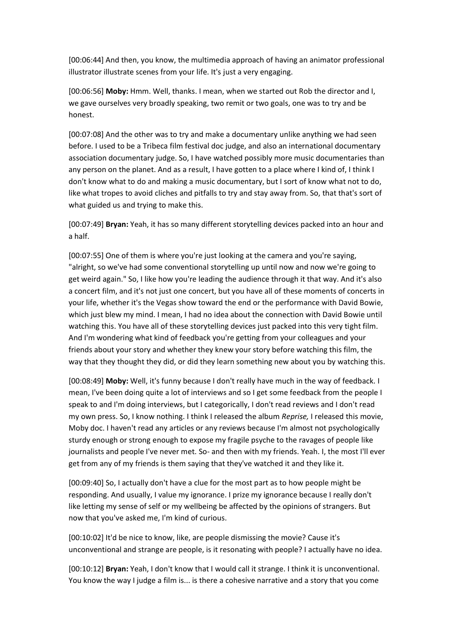[00:06:44] And then, you know, the multimedia approach of having an animator professional illustrator illustrate scenes from your life. It's just a very engaging.

[00:06:56] **Moby:** Hmm. Well, thanks. I mean, when we started out Rob the director and I, we gave ourselves very broadly speaking, two remit or two goals, one was to try and be honest.

[00:07:08] And the other was to try and make a documentary unlike anything we had seen before. I used to be a Tribeca film festival doc judge, and also an international documentary association documentary judge. So, I have watched possibly more music documentaries than any person on the planet. And as a result, I have gotten to a place where I kind of, I think I don't know what to do and making a music documentary, but I sort of know what not to do, like what tropes to avoid cliches and pitfalls to try and stay away from. So, that that's sort of what guided us and trying to make this.

[00:07:49] **Bryan:** Yeah, it has so many different storytelling devices packed into an hour and a half.

[00:07:55] One of them is where you're just looking at the camera and you're saying, "alright, so we've had some conventional storytelling up until now and now we're going to get weird again." So, I like how you're leading the audience through it that way. And it's also a concert film, and it's not just one concert, but you have all of these moments of concerts in your life, whether it's the Vegas show toward the end or the performance with David Bowie, which just blew my mind. I mean, I had no idea about the connection with David Bowie until watching this. You have all of these storytelling devices just packed into this very tight film. And I'm wondering what kind of feedback you're getting from your colleagues and your friends about your story and whether they knew your story before watching this film, the way that they thought they did, or did they learn something new about you by watching this.

[00:08:49] **Moby:** Well, it's funny because I don't really have much in the way of feedback. I mean, I've been doing quite a lot of interviews and so I get some feedback from the people I speak to and I'm doing interviews, but I categorically, I don't read reviews and I don't read my own press. So, I know nothing. I think I released the album *Reprise,* I released this movie, Moby doc. I haven't read any articles or any reviews because I'm almost not psychologically sturdy enough or strong enough to expose my fragile psyche to the ravages of people like journalists and people I've never met. So- and then with my friends. Yeah. I, the most I'll ever get from any of my friends is them saying that they've watched it and they like it.

[00:09:40] So, I actually don't have a clue for the most part as to how people might be responding. And usually, I value my ignorance. I prize my ignorance because I really don't like letting my sense of self or my wellbeing be affected by the opinions of strangers. But now that you've asked me, I'm kind of curious.

[00:10:02] It'd be nice to know, like, are people dismissing the movie? Cause it's unconventional and strange are people, is it resonating with people? I actually have no idea.

[00:10:12] **Bryan:** Yeah, I don't know that I would call it strange. I think it is unconventional. You know the way I judge a film is... is there a cohesive narrative and a story that you come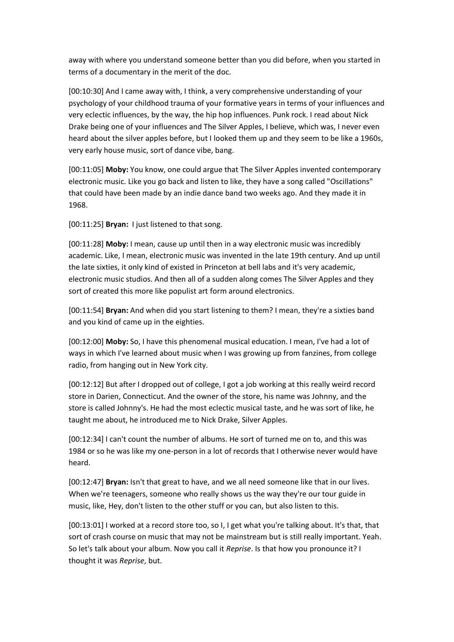away with where you understand someone better than you did before, when you started in terms of a documentary in the merit of the doc.

[00:10:30] And I came away with, I think, a very comprehensive understanding of your psychology of your childhood trauma of your formative years in terms of your influences and very eclectic influences, by the way, the hip hop influences. Punk rock. I read about Nick Drake being one of your influences and The Silver Apples, I believe, which was, I never even heard about the silver apples before, but I looked them up and they seem to be like a 1960s, very early house music, sort of dance vibe, bang.

[00:11:05] **Moby:** You know, one could argue that The Silver Apples invented contemporary electronic music. Like you go back and listen to like, they have a song called "Oscillations" that could have been made by an indie dance band two weeks ago. And they made it in 1968.

[00:11:25] **Bryan:** I just listened to that song.

[00:11:28] **Moby:** I mean, cause up until then in a way electronic music was incredibly academic. Like, I mean, electronic music was invented in the late 19th century. And up until the late sixties, it only kind of existed in Princeton at bell labs and it's very academic, electronic music studios. And then all of a sudden along comes The Silver Apples and they sort of created this more like populist art form around electronics.

[00:11:54] **Bryan:** And when did you start listening to them? I mean, they're a sixties band and you kind of came up in the eighties.

[00:12:00] **Moby:** So, I have this phenomenal musical education. I mean, I've had a lot of ways in which I've learned about music when I was growing up from fanzines, from college radio, from hanging out in New York city.

[00:12:12] But after I dropped out of college, I got a job working at this really weird record store in Darien, Connecticut. And the owner of the store, his name was Johnny, and the store is called Johnny's. He had the most eclectic musical taste, and he was sort of like, he taught me about, he introduced me to Nick Drake, Silver Apples.

[00:12:34] I can't count the number of albums. He sort of turned me on to, and this was 1984 or so he was like my one-person in a lot of records that I otherwise never would have heard.

[00:12:47] **Bryan:** Isn't that great to have, and we all need someone like that in our lives. When we're teenagers, someone who really shows us the way they're our tour guide in music, like, Hey, don't listen to the other stuff or you can, but also listen to this.

[00:13:01] I worked at a record store too, so I, I get what you're talking about. It's that, that sort of crash course on music that may not be mainstream but is still really important. Yeah. So let's talk about your album. Now you call it *Reprise*. Is that how you pronounce it? I thought it was *Reprise*, but.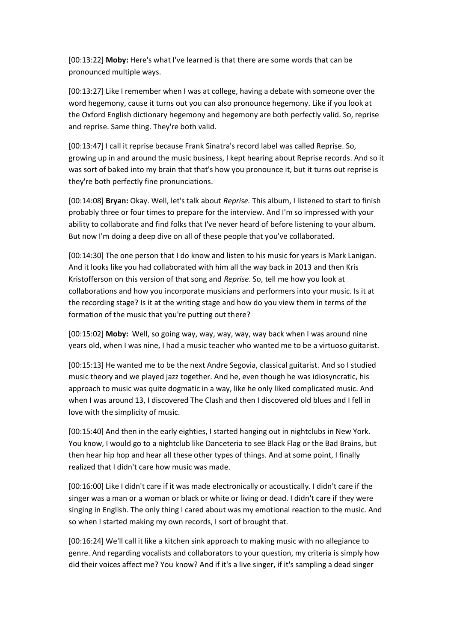[00:13:22] **Moby:** Here's what I've learned is that there are some words that can be pronounced multiple ways.

[00:13:27] Like I remember when I was at college, having a debate with someone over the word hegemony, cause it turns out you can also pronounce hegemony. Like if you look at the Oxford English dictionary hegemony and hegemony are both perfectly valid. So, reprise and reprise. Same thing. They're both valid.

[00:13:47] I call it reprise because Frank Sinatra's record label was called Reprise. So, growing up in and around the music business, I kept hearing about Reprise records. And so it was sort of baked into my brain that that's how you pronounce it, but it turns out reprise is they're both perfectly fine pronunciations.

[00:14:08] **Bryan:** Okay. Well, let's talk about *Reprise.* This album, I listened to start to finish probably three or four times to prepare for the interview. And I'm so impressed with your ability to collaborate and find folks that I've never heard of before listening to your album. But now I'm doing a deep dive on all of these people that you've collaborated.

[00:14:30] The one person that I do know and listen to his music for years is Mark Lanigan. And it looks like you had collaborated with him all the way back in 2013 and then Kris Kristofferson on this version of that song and *Reprise*. So, tell me how you look at collaborations and how you incorporate musicians and performers into your music. Is it at the recording stage? Is it at the writing stage and how do you view them in terms of the formation of the music that you're putting out there?

[00:15:02] **Moby:** Well, so going way, way, way, way, way back when I was around nine years old, when I was nine, I had a music teacher who wanted me to be a virtuoso guitarist.

[00:15:13] He wanted me to be the next Andre Segovia, classical guitarist. And so I studied music theory and we played jazz together. And he, even though he was idiosyncratic, his approach to music was quite dogmatic in a way, like he only liked complicated music. And when I was around 13, I discovered The Clash and then I discovered old blues and I fell in love with the simplicity of music.

[00:15:40] And then in the early eighties, I started hanging out in nightclubs in New York. You know, I would go to a nightclub like Danceteria to see Black Flag or the Bad Brains, but then hear hip hop and hear all these other types of things. And at some point, I finally realized that I didn't care how music was made.

[00:16:00] Like I didn't care if it was made electronically or acoustically. I didn't care if the singer was a man or a woman or black or white or living or dead. I didn't care if they were singing in English. The only thing I cared about was my emotional reaction to the music. And so when I started making my own records, I sort of brought that.

[00:16:24] We'll call it like a kitchen sink approach to making music with no allegiance to genre. And regarding vocalists and collaborators to your question, my criteria is simply how did their voices affect me? You know? And if it's a live singer, if it's sampling a dead singer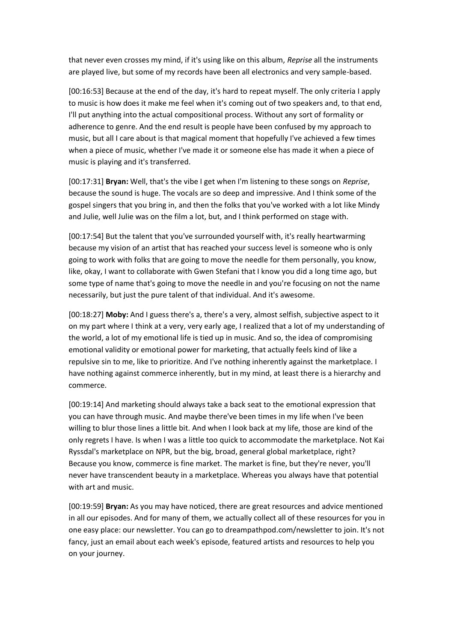that never even crosses my mind, if it's using like on this album, *Reprise* all the instruments are played live, but some of my records have been all electronics and very sample-based.

[00:16:53] Because at the end of the day, it's hard to repeat myself. The only criteria I apply to music is how does it make me feel when it's coming out of two speakers and, to that end, I'll put anything into the actual compositional process. Without any sort of formality or adherence to genre. And the end result is people have been confused by my approach to music, but all I care about is that magical moment that hopefully I've achieved a few times when a piece of music, whether I've made it or someone else has made it when a piece of music is playing and it's transferred.

[00:17:31] **Bryan:** Well, that's the vibe I get when I'm listening to these songs on *Reprise*, because the sound is huge. The vocals are so deep and impressive. And I think some of the gospel singers that you bring in, and then the folks that you've worked with a lot like Mindy and Julie, well Julie was on the film a lot, but, and I think performed on stage with.

[00:17:54] But the talent that you've surrounded yourself with, it's really heartwarming because my vision of an artist that has reached your success level is someone who is only going to work with folks that are going to move the needle for them personally, you know, like, okay, I want to collaborate with Gwen Stefani that I know you did a long time ago, but some type of name that's going to move the needle in and you're focusing on not the name necessarily, but just the pure talent of that individual. And it's awesome.

[00:18:27] **Moby:** And I guess there's a, there's a very, almost selfish, subjective aspect to it on my part where I think at a very, very early age, I realized that a lot of my understanding of the world, a lot of my emotional life is tied up in music. And so, the idea of compromising emotional validity or emotional power for marketing, that actually feels kind of like a repulsive sin to me, like to prioritize. And I've nothing inherently against the marketplace. I have nothing against commerce inherently, but in my mind, at least there is a hierarchy and commerce.

[00:19:14] And marketing should always take a back seat to the emotional expression that you can have through music. And maybe there've been times in my life when I've been willing to blur those lines a little bit. And when I look back at my life, those are kind of the only regrets I have. Is when I was a little too quick to accommodate the marketplace. Not Kai Ryssdal's marketplace on NPR, but the big, broad, general global marketplace, right? Because you know, commerce is fine market. The market is fine, but they're never, you'll never have transcendent beauty in a marketplace. Whereas you always have that potential with art and music.

[00:19:59] **Bryan:** As you may have noticed, there are great resources and advice mentioned in all our episodes. And for many of them, we actually collect all of these resources for you in one easy place: our newsletter. You can go to dreampathpod.com/newsletter to join. It's not fancy, just an email about each week's episode, featured artists and resources to help you on your journey.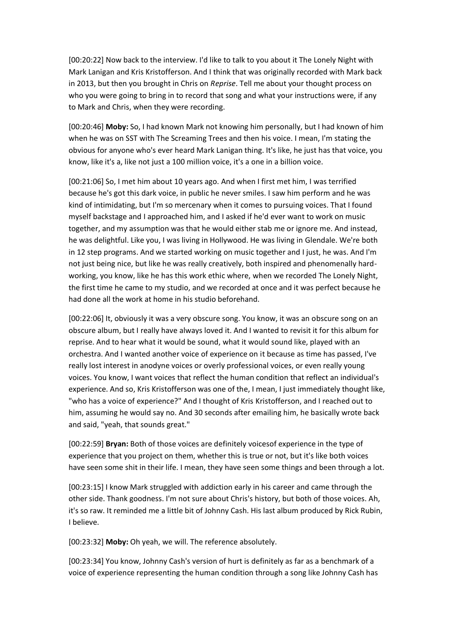[00:20:22] Now back to the interview. I'd like to talk to you about it The Lonely Night with Mark Lanigan and Kris Kristofferson. And I think that was originally recorded with Mark back in 2013, but then you brought in Chris on *Reprise*. Tell me about your thought process on who you were going to bring in to record that song and what your instructions were, if any to Mark and Chris, when they were recording.

[00:20:46] **Moby:** So, I had known Mark not knowing him personally, but I had known of him when he was on SST with The Screaming Trees and then his voice. I mean, I'm stating the obvious for anyone who's ever heard Mark Lanigan thing. It's like, he just has that voice, you know, like it's a, like not just a 100 million voice, it's a one in a billion voice.

[00:21:06] So, I met him about 10 years ago. And when I first met him, I was terrified because he's got this dark voice, in public he never smiles. I saw him perform and he was kind of intimidating, but I'm so mercenary when it comes to pursuing voices. That I found myself backstage and I approached him, and I asked if he'd ever want to work on music together, and my assumption was that he would either stab me or ignore me. And instead, he was delightful. Like you, I was living in Hollywood. He was living in Glendale. We're both in 12 step programs. And we started working on music together and I just, he was. And I'm not just being nice, but like he was really creatively, both inspired and phenomenally hardworking, you know, like he has this work ethic where, when we recorded The Lonely Night, the first time he came to my studio, and we recorded at once and it was perfect because he had done all the work at home in his studio beforehand.

[00:22:06] It, obviously it was a very obscure song. You know, it was an obscure song on an obscure album, but I really have always loved it. And I wanted to revisit it for this album for reprise. And to hear what it would be sound, what it would sound like, played with an orchestra. And I wanted another voice of experience on it because as time has passed, I've really lost interest in anodyne voices or overly professional voices, or even really young voices. You know, I want voices that reflect the human condition that reflect an individual's experience. And so, Kris Kristofferson was one of the, I mean, I just immediately thought like, "who has a voice of experience?" And I thought of Kris Kristofferson, and I reached out to him, assuming he would say no. And 30 seconds after emailing him, he basically wrote back and said, "yeah, that sounds great."

[00:22:59] **Bryan:** Both of those voices are definitely voicesof experience in the type of experience that you project on them, whether this is true or not, but it's like both voices have seen some shit in their life. I mean, they have seen some things and been through a lot.

[00:23:15] I know Mark struggled with addiction early in his career and came through the other side. Thank goodness. I'm not sure about Chris's history, but both of those voices. Ah, it's so raw. It reminded me a little bit of Johnny Cash. His last album produced by Rick Rubin, I believe.

[00:23:32] **Moby:** Oh yeah, we will. The reference absolutely.

[00:23:34] You know, Johnny Cash's version of hurt is definitely as far as a benchmark of a voice of experience representing the human condition through a song like Johnny Cash has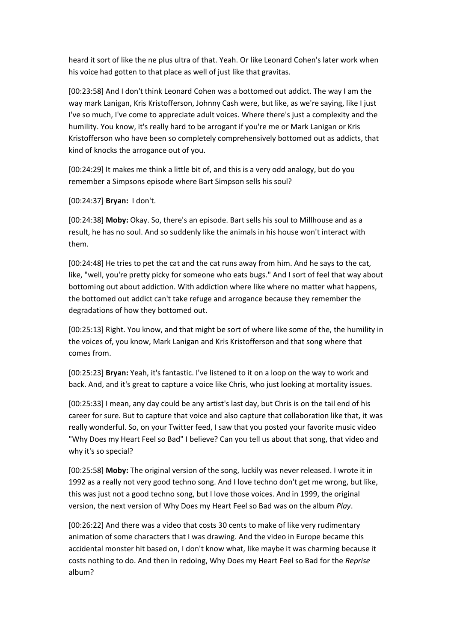heard it sort of like the ne plus ultra of that. Yeah. Or like Leonard Cohen's later work when his voice had gotten to that place as well of just like that gravitas.

[00:23:58] And I don't think Leonard Cohen was a bottomed out addict. The way I am the way mark Lanigan, Kris Kristofferson, Johnny Cash were, but like, as we're saying, like I just I've so much, I've come to appreciate adult voices. Where there's just a complexity and the humility. You know, it's really hard to be arrogant if you're me or Mark Lanigan or Kris Kristofferson who have been so completely comprehensively bottomed out as addicts, that kind of knocks the arrogance out of you.

[00:24:29] It makes me think a little bit of, and this is a very odd analogy, but do you remember a Simpsons episode where Bart Simpson sells his soul?

[00:24:37] **Bryan:** I don't.

[00:24:38] **Moby:** Okay. So, there's an episode. Bart sells his soul to Millhouse and as a result, he has no soul. And so suddenly like the animals in his house won't interact with them.

[00:24:48] He tries to pet the cat and the cat runs away from him. And he says to the cat, like, "well, you're pretty picky for someone who eats bugs." And I sort of feel that way about bottoming out about addiction. With addiction where like where no matter what happens, the bottomed out addict can't take refuge and arrogance because they remember the degradations of how they bottomed out.

[00:25:13] Right. You know, and that might be sort of where like some of the, the humility in the voices of, you know, Mark Lanigan and Kris Kristofferson and that song where that comes from.

[00:25:23] **Bryan:** Yeah, it's fantastic. I've listened to it on a loop on the way to work and back. And, and it's great to capture a voice like Chris, who just looking at mortality issues.

[00:25:33] I mean, any day could be any artist's last day, but Chris is on the tail end of his career for sure. But to capture that voice and also capture that collaboration like that, it was really wonderful. So, on your Twitter feed, I saw that you posted your favorite music video "Why Does my Heart Feel so Bad" I believe? Can you tell us about that song, that video and why it's so special?

[00:25:58] **Moby:** The original version of the song, luckily was never released. I wrote it in 1992 as a really not very good techno song. And I love techno don't get me wrong, but like, this was just not a good techno song, but I love those voices. And in 1999, the original version, the next version of Why Does my Heart Feel so Bad was on the album *Play*.

[00:26:22] And there was a video that costs 30 cents to make of like very rudimentary animation of some characters that I was drawing. And the video in Europe became this accidental monster hit based on, I don't know what, like maybe it was charming because it costs nothing to do. And then in redoing, Why Does my Heart Feel so Bad for the *Reprise* album?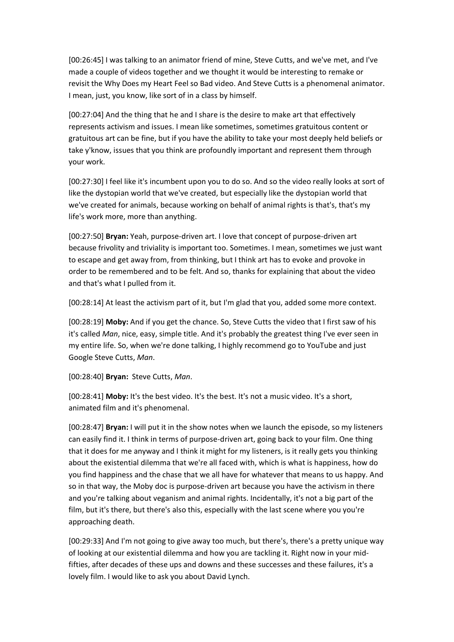[00:26:45] I was talking to an animator friend of mine, Steve Cutts, and we've met, and I've made a couple of videos together and we thought it would be interesting to remake or revisit the Why Does my Heart Feel so Bad video. And Steve Cutts is a phenomenal animator. I mean, just, you know, like sort of in a class by himself.

[00:27:04] And the thing that he and I share is the desire to make art that effectively represents activism and issues. I mean like sometimes, sometimes gratuitous content or gratuitous art can be fine, but if you have the ability to take your most deeply held beliefs or take y'know, issues that you think are profoundly important and represent them through your work.

[00:27:30] I feel like it's incumbent upon you to do so. And so the video really looks at sort of like the dystopian world that we've created, but especially like the dystopian world that we've created for animals, because working on behalf of animal rights is that's, that's my life's work more, more than anything.

[00:27:50] **Bryan:** Yeah, purpose-driven art. I love that concept of purpose-driven art because frivolity and triviality is important too. Sometimes. I mean, sometimes we just want to escape and get away from, from thinking, but I think art has to evoke and provoke in order to be remembered and to be felt. And so, thanks for explaining that about the video and that's what I pulled from it.

[00:28:14] At least the activism part of it, but I'm glad that you, added some more context.

[00:28:19] **Moby:** And if you get the chance. So, Steve Cutts the video that I first saw of his it's called *Man*, nice, easy, simple title. And it's probably the greatest thing I've ever seen in my entire life. So, when we're done talking, I highly recommend go to YouTube and just Google Steve Cutts, *Man*.

[00:28:40] **Bryan:** Steve Cutts, *Man*.

[00:28:41] **Moby:** It's the best video. It's the best. It's not a music video. It's a short, animated film and it's phenomenal.

[00:28:47] **Bryan:** I will put it in the show notes when we launch the episode, so my listeners can easily find it. I think in terms of purpose-driven art, going back to your film. One thing that it does for me anyway and I think it might for my listeners, is it really gets you thinking about the existential dilemma that we're all faced with, which is what is happiness, how do you find happiness and the chase that we all have for whatever that means to us happy. And so in that way, the Moby doc is purpose-driven art because you have the activism in there and you're talking about veganism and animal rights. Incidentally, it's not a big part of the film, but it's there, but there's also this, especially with the last scene where you you're approaching death.

[00:29:33] And I'm not going to give away too much, but there's, there's a pretty unique way of looking at our existential dilemma and how you are tackling it. Right now in your midfifties, after decades of these ups and downs and these successes and these failures, it's a lovely film. I would like to ask you about David Lynch.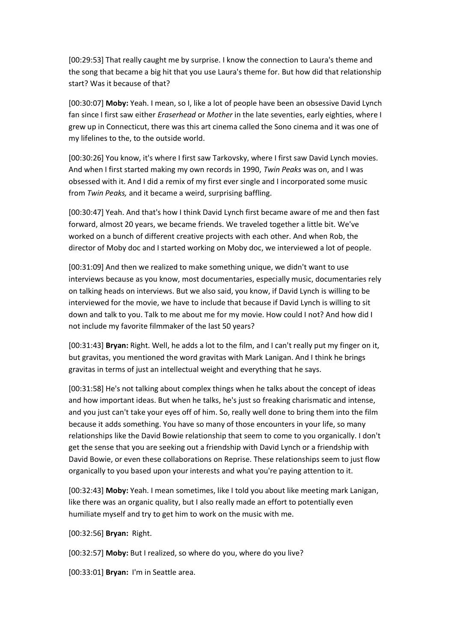[00:29:53] That really caught me by surprise. I know the connection to Laura's theme and the song that became a big hit that you use Laura's theme for. But how did that relationship start? Was it because of that?

[00:30:07] **Moby:** Yeah. I mean, so I, like a lot of people have been an obsessive David Lynch fan since I first saw either *Eraserhead* or *Mother* in the late seventies, early eighties, where I grew up in Connecticut, there was this art cinema called the Sono cinema and it was one of my lifelines to the, to the outside world.

[00:30:26] You know, it's where I first saw Tarkovsky, where I first saw David Lynch movies. And when I first started making my own records in 1990, *Twin Peaks* was on, and I was obsessed with it. And I did a remix of my first ever single and I incorporated some music from *Twin Peaks,* and it became a weird, surprising baffling.

[00:30:47] Yeah. And that's how I think David Lynch first became aware of me and then fast forward, almost 20 years, we became friends. We traveled together a little bit. We've worked on a bunch of different creative projects with each other. And when Rob, the director of Moby doc and I started working on Moby doc, we interviewed a lot of people.

[00:31:09] And then we realized to make something unique, we didn't want to use interviews because as you know, most documentaries, especially music, documentaries rely on talking heads on interviews. But we also said, you know, if David Lynch is willing to be interviewed for the movie, we have to include that because if David Lynch is willing to sit down and talk to you. Talk to me about me for my movie. How could I not? And how did I not include my favorite filmmaker of the last 50 years?

[00:31:43] **Bryan:** Right. Well, he adds a lot to the film, and I can't really put my finger on it, but gravitas, you mentioned the word gravitas with Mark Lanigan. And I think he brings gravitas in terms of just an intellectual weight and everything that he says.

[00:31:58] He's not talking about complex things when he talks about the concept of ideas and how important ideas. But when he talks, he's just so freaking charismatic and intense, and you just can't take your eyes off of him. So, really well done to bring them into the film because it adds something. You have so many of those encounters in your life, so many relationships like the David Bowie relationship that seem to come to you organically. I don't get the sense that you are seeking out a friendship with David Lynch or a friendship with David Bowie, or even these collaborations on Reprise. These relationships seem to just flow organically to you based upon your interests and what you're paying attention to it.

[00:32:43] **Moby:** Yeah. I mean sometimes, like I told you about like meeting mark Lanigan, like there was an organic quality, but I also really made an effort to potentially even humiliate myself and try to get him to work on the music with me.

[00:32:56] **Bryan:** Right.

[00:32:57] **Moby:** But I realized, so where do you, where do you live?

[00:33:01] **Bryan:** I'm in Seattle area.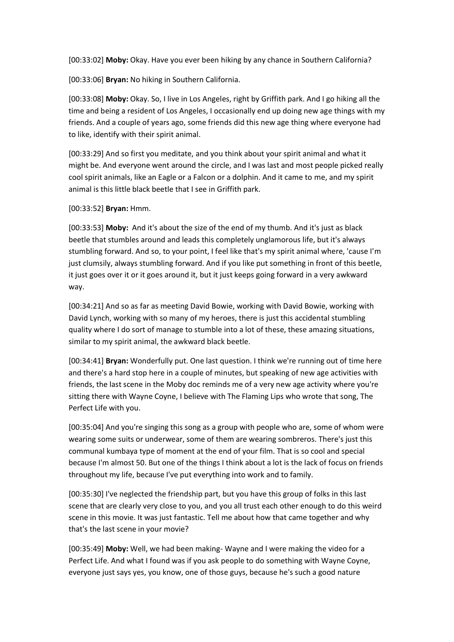[00:33:02] **Moby:** Okay. Have you ever been hiking by any chance in Southern California?

[00:33:06] **Bryan:** No hiking in Southern California.

[00:33:08] **Moby:** Okay. So, I live in Los Angeles, right by Griffith park. And I go hiking all the time and being a resident of Los Angeles, I occasionally end up doing new age things with my friends. And a couple of years ago, some friends did this new age thing where everyone had to like, identify with their spirit animal.

[00:33:29] And so first you meditate, and you think about your spirit animal and what it might be. And everyone went around the circle, and I was last and most people picked really cool spirit animals, like an Eagle or a Falcon or a dolphin. And it came to me, and my spirit animal is this little black beetle that I see in Griffith park.

[00:33:52] **Bryan:** Hmm.

[00:33:53] **Moby:** And it's about the size of the end of my thumb. And it's just as black beetle that stumbles around and leads this completely unglamorous life, but it's always stumbling forward. And so, to your point, I feel like that's my spirit animal where, 'cause I'm just clumsily, always stumbling forward. And if you like put something in front of this beetle, it just goes over it or it goes around it, but it just keeps going forward in a very awkward way.

[00:34:21] And so as far as meeting David Bowie, working with David Bowie, working with David Lynch, working with so many of my heroes, there is just this accidental stumbling quality where I do sort of manage to stumble into a lot of these, these amazing situations, similar to my spirit animal, the awkward black beetle.

[00:34:41] **Bryan:** Wonderfully put. One last question. I think we're running out of time here and there's a hard stop here in a couple of minutes, but speaking of new age activities with friends, the last scene in the Moby doc reminds me of a very new age activity where you're sitting there with Wayne Coyne, I believe with The Flaming Lips who wrote that song, The Perfect Life with you.

[00:35:04] And you're singing this song as a group with people who are, some of whom were wearing some suits or underwear, some of them are wearing sombreros. There's just this communal kumbaya type of moment at the end of your film. That is so cool and special because I'm almost 50. But one of the things I think about a lot is the lack of focus on friends throughout my life, because I've put everything into work and to family.

[00:35:30] I've neglected the friendship part, but you have this group of folks in this last scene that are clearly very close to you, and you all trust each other enough to do this weird scene in this movie. It was just fantastic. Tell me about how that came together and why that's the last scene in your movie?

[00:35:49] **Moby:** Well, we had been making- Wayne and I were making the video for a Perfect Life. And what I found was if you ask people to do something with Wayne Coyne, everyone just says yes, you know, one of those guys, because he's such a good nature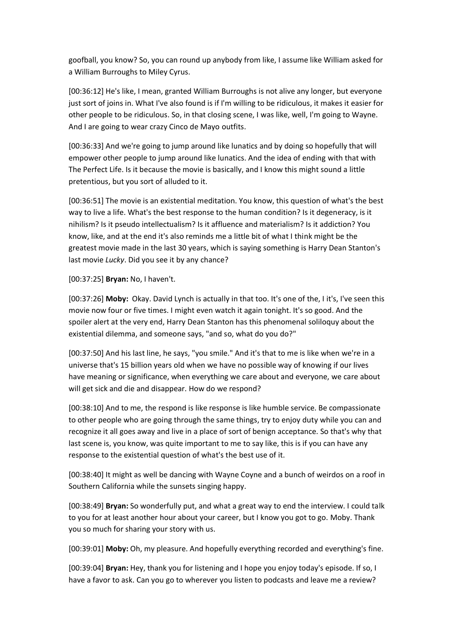goofball, you know? So, you can round up anybody from like, I assume like William asked for a William Burroughs to Miley Cyrus.

[00:36:12] He's like, I mean, granted William Burroughs is not alive any longer, but everyone just sort of joins in. What I've also found is if I'm willing to be ridiculous, it makes it easier for other people to be ridiculous. So, in that closing scene, I was like, well, I'm going to Wayne. And I are going to wear crazy Cinco de Mayo outfits.

[00:36:33] And we're going to jump around like lunatics and by doing so hopefully that will empower other people to jump around like lunatics. And the idea of ending with that with The Perfect Life. Is it because the movie is basically, and I know this might sound a little pretentious, but you sort of alluded to it.

[00:36:51] The movie is an existential meditation. You know, this question of what's the best way to live a life. What's the best response to the human condition? Is it degeneracy, is it nihilism? Is it pseudo intellectualism? Is it affluence and materialism? Is it addiction? You know, like, and at the end it's also reminds me a little bit of what I think might be the greatest movie made in the last 30 years, which is saying something is Harry Dean Stanton's last movie *Lucky*. Did you see it by any chance?

[00:37:25] **Bryan:** No, I haven't.

[00:37:26] Moby: Okay. David Lynch is actually in that too. It's one of the, I it's, I've seen this movie now four or five times. I might even watch it again tonight. It's so good. And the spoiler alert at the very end, Harry Dean Stanton has this phenomenal soliloquy about the existential dilemma, and someone says, "and so, what do you do?"

[00:37:50] And his last line, he says, "you smile." And it's that to me is like when we're in a universe that's 15 billion years old when we have no possible way of knowing if our lives have meaning or significance, when everything we care about and everyone, we care about will get sick and die and disappear. How do we respond?

[00:38:10] And to me, the respond is like response is like humble service. Be compassionate to other people who are going through the same things, try to enjoy duty while you can and recognize it all goes away and live in a place of sort of benign acceptance. So that's why that last scene is, you know, was quite important to me to say like, this is if you can have any response to the existential question of what's the best use of it.

[00:38:40] It might as well be dancing with Wayne Coyne and a bunch of weirdos on a roof in Southern California while the sunsets singing happy.

[00:38:49] **Bryan:** So wonderfully put, and what a great way to end the interview. I could talk to you for at least another hour about your career, but I know you got to go. Moby. Thank you so much for sharing your story with us.

[00:39:01] **Moby:** Oh, my pleasure. And hopefully everything recorded and everything's fine.

[00:39:04] **Bryan:** Hey, thank you for listening and I hope you enjoy today's episode. If so, I have a favor to ask. Can you go to wherever you listen to podcasts and leave me a review?